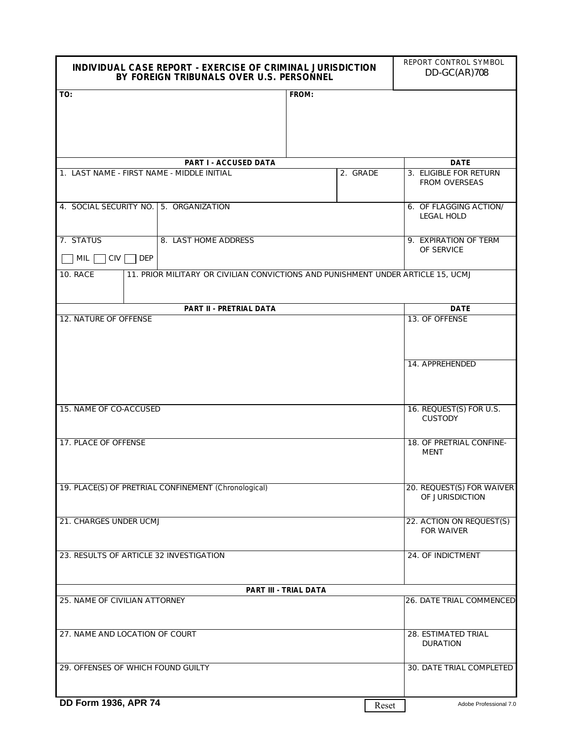| INDIVIDUAL CASE REPORT - EXERCISE OF CRIMINAL JURISDICTION<br>BY FOREIGN TRIBUNALS OVER U.S. PERSONNEL | REPORT CONTROL SYMBOL<br>$DD-GC(AR)708$                                          |       |                                 |
|--------------------------------------------------------------------------------------------------------|----------------------------------------------------------------------------------|-------|---------------------------------|
| TO:                                                                                                    |                                                                                  | FROM: |                                 |
|                                                                                                        | <b>DATE</b>                                                                      |       |                                 |
| 1. LAST NAME - FIRST NAME - MIDDLE INITIAL                                                             | 3. ELIGIBLE FOR RETURN<br>2. GRADE<br>FROM OVERSEAS                              |       |                                 |
| 4. SOCIAL SECURITY NO.                                                                                 | 6. OF FLAGGING ACTION/<br>LEGAL HOLD                                             |       |                                 |
| 7. STATUS                                                                                              | 9. EXPIRATION OF TERM                                                            |       |                                 |
| <b>MIL</b><br><b>CIV</b><br><b>DEP</b>                                                                 | OF SERVICE                                                                       |       |                                 |
| <b>10. RACE</b>                                                                                        | 11. PRIOR MILITARY OR CIVILIAN CONVICTIONS AND PUNISHMENT UNDER ARTICLE 15, UCMJ |       |                                 |
|                                                                                                        | <b>DATE</b>                                                                      |       |                                 |
| 12. NATURE OF OFFENSE                                                                                  |                                                                                  |       | 13. OF OFFENSE                  |
|                                                                                                        |                                                                                  |       | 14. APPREHENDED                 |
| 15. NAME OF CO-ACCUSED                                                                                 | 16. REQUEST(S) FOR U.S.<br><b>CUSTODY</b>                                        |       |                                 |
| 17. PLACE OF OFFENSE                                                                                   | 18. OF PRETRIAL CONFINE-<br><b>MENT</b>                                          |       |                                 |
| 19. PLACE(S) OF PRETRIAL CONFINEMENT (Chronological)                                                   | 20. REQUEST(S) FOR WAIVER<br>OF JURISDICTION                                     |       |                                 |
| 21. CHARGES UNDER UCMJ                                                                                 | 22. ACTION ON REQUEST(S)<br><b>FOR WAIVER</b>                                    |       |                                 |
| 23. RESULTS OF ARTICLE 32 INVESTIGATION                                                                | 24. OF INDICTMENT                                                                |       |                                 |
|                                                                                                        | PART III - TRIAL DATA                                                            |       |                                 |
| 25. NAME OF CIVILIAN ATTORNEY                                                                          | 26. DATE TRIAL COMMENCED                                                         |       |                                 |
| 27. NAME AND LOCATION OF COURT                                                                         | 28. ESTIMATED TRIAL<br><b>DURATION</b>                                           |       |                                 |
| 29. OFFENSES OF WHICH FOUND GUILTY                                                                     | 30. DATE TRIAL COMPLETED                                                         |       |                                 |
| DD Form 1936, APR 74                                                                                   |                                                                                  |       | Adobe Professional 7.0<br>Reset |